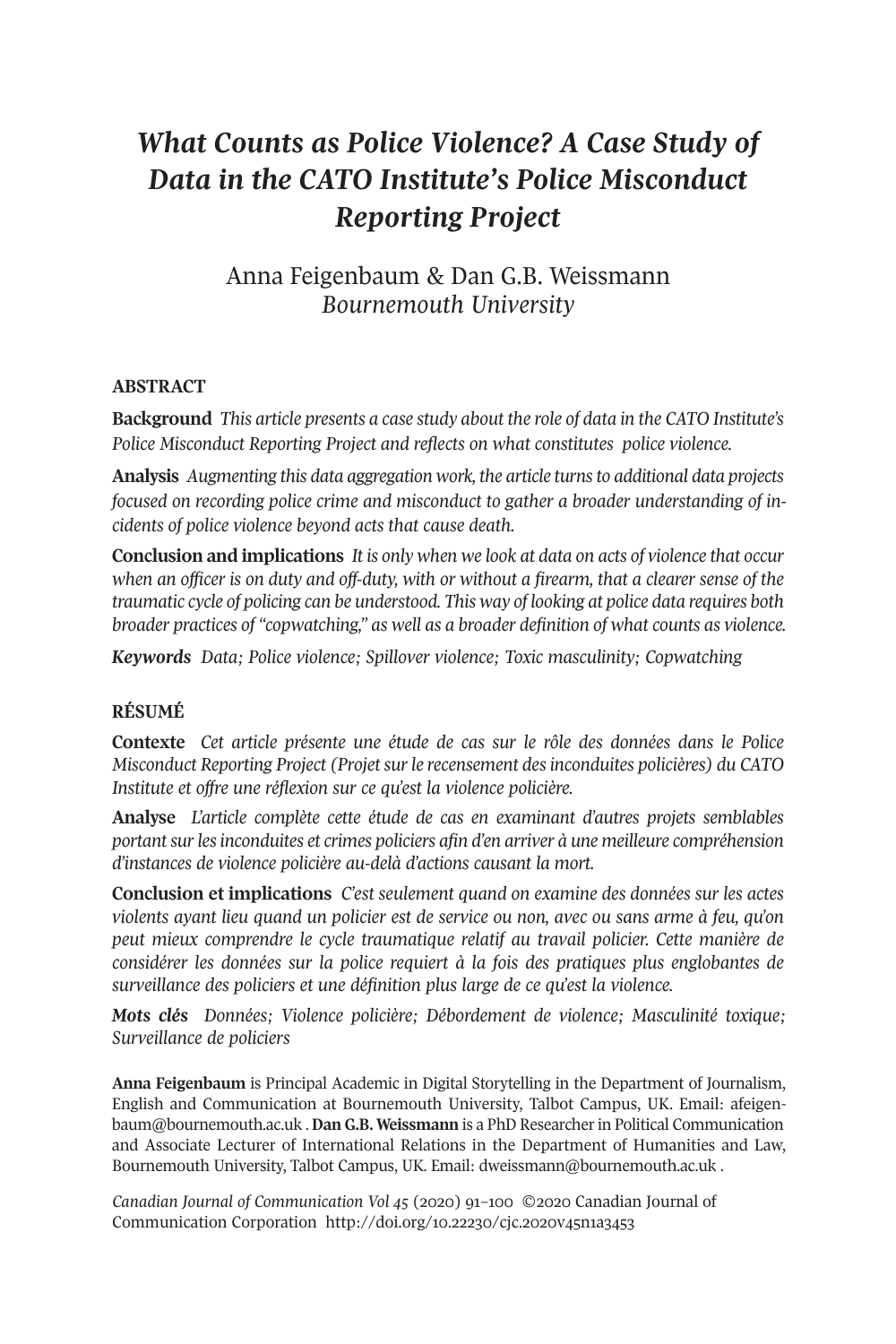# *What Counts as Police Violence? A Case Study of Data in the CATO Institute's Police Misconduct Reporting Project*

Anna Feigenbaum & Dan G.B. Weissmann *Bournemouth University*

# **ABSTRACT**

**Background** *This article presents a case study about the role of data in the CATO Institute's Police Misconduct Reporting Project and reflects on what constitutes police violence.*

**Analysis** *Augmenting this data aggregation work, the article turnsto additional data projects focused on recording police crime and misconduct to gather a broader understanding of incidents of police violence beyond acts that cause death.*

**Conclusion and implications** *It is only when we look at data on acts of violence that occur* when an officer is on duty and off-duty, with or without a firearm, that a clearer sense of the *traumatic cycle of policing can be understood. This way of looking at police data requires both broader practices of "copwatching," as well as a broader definition of what counts as violence.*

*Keywords Data; Police violence; Spillover violence; Toxic masculinity; Copwatching*

# **RÉSUMÉ**

**Contexte** *Cet article présente une étude de cas sur le rôle des données dans le Police Misconduct Reporting Project (Projetsurle recensement desinconduites policières) du CATO Institute et offre une réflexion sur ce qu'est la violence policière.*

**Analyse** *L'article complète cette étude de cas en examinant d'autres projets semblables portantsurlesinconduites et crimes policiers afin d'en arriver à une meilleure compréhension d'instances de violence policière au-delà d'actions causant la mort.*

**Conclusion et implications** *C'est seulement quand on examine des données sur les actes violents ayant lieu quand un policier est de service ou non, avec ou sans arme à feu, qu'on peut mieux comprendre le cycle traumatique relatif au travail policier. Cette manière de considérer les données sur la police requiert à la fois des pratiques plus englobantes de surveillance des policiers et une définition plus large de ce qu'est la violence.*

*Mots clés Données; Violence policière; Débordement de violence; Masculinité toxique; Surveillance de policiers*

**Anna Feigenbaum** is Principal Academic in Digital Storytelling in the Department of Journalism, English and Communication at Bournemouth University, Talbot Campus, UK. Email: [afeigen](mailto:afeigenbaum@bournemouth.ac.uk)[baum@bournemouth.ac.uk](mailto:afeigenbaum@bournemouth.ac.uk) . **Dan G.B. Weissmann** is a PhD Researcherin Political Communication and Associate Lecturer of International Relations in the Department of Humanities and Law, Bournemouth University, Talbot Campus, UK. Email: [dweissmann@bournemouth.ac.uk](mailto:dweissmann@bournemouth.ac.uk) .

*Canadian Journal of [Communication](http://www.cjc-online.ca) Vol 45* (2020) 91–100 ©2020 Canadian Journal of Communication Corporation <http://doi.org/10.22230/cjc.2020v45n1a3453>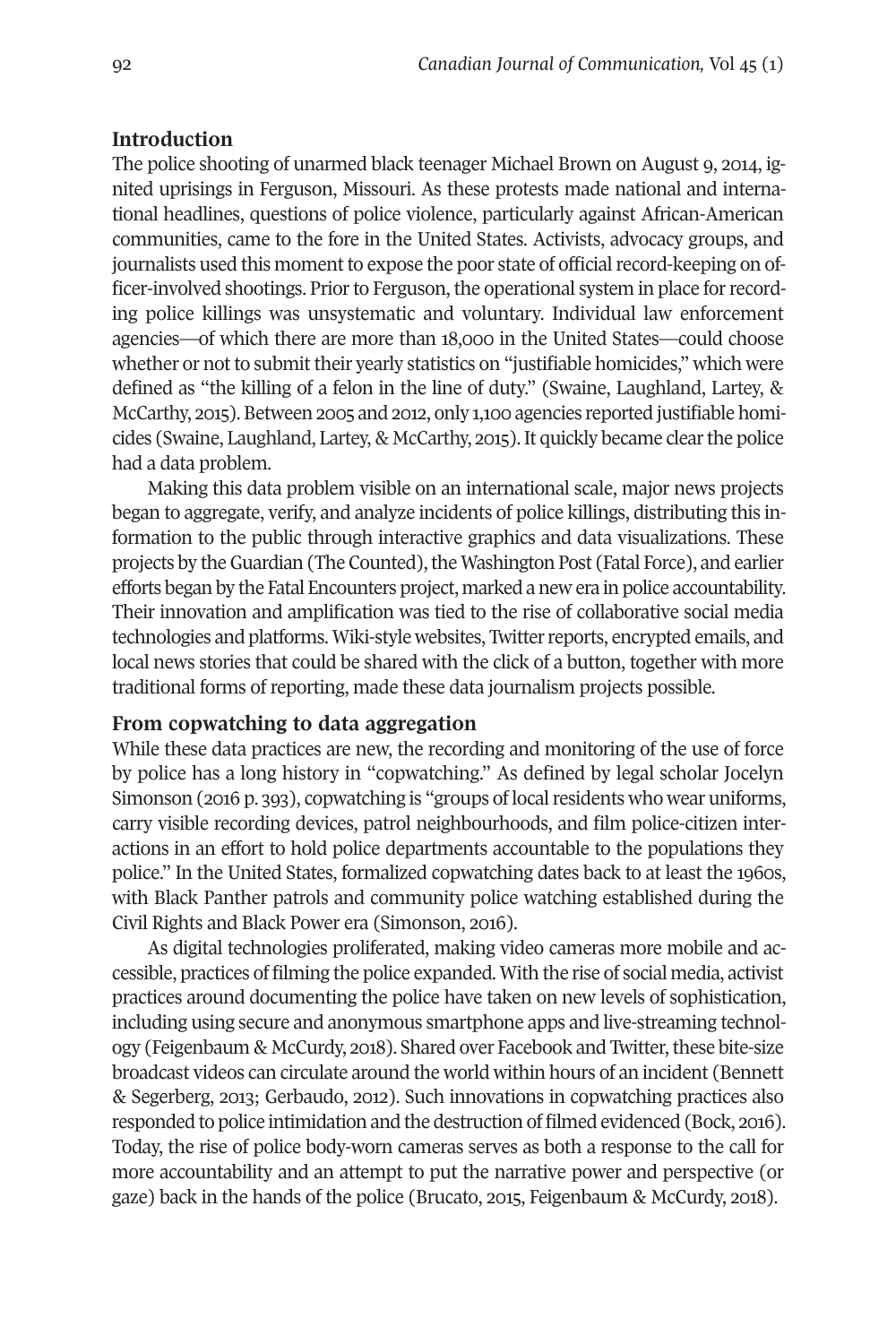## **Introduction**

The police shooting of unarmed black teenager Michael Brown on August 9, 2014, ignited uprisings in Ferguson, Missouri. As these protests made national and international headlines, questions of police violence, particularly against African-American communities, came to the fore in the United States. Activists, advocacy groups, and journalists used this moment to expose the poor state of official record-keeping on officer-involved shootings. Prior to Ferguson, the operational system in place for recording police killings was unsystematic and voluntary. Individual law enforcement agencies—of which there are more than 18,000 in the United States—could choose whether or not to submit their yearly statistics on "justifiable homicides," which were defined as "the killing of a felon in the line of duty." (Swaine, Laughland, Lartey, & McCarthy, 2015). Between 2005 and 2012, only 1,100 agencies reported justifiable homicides (Swaine, Laughland, Lartey, & McCarthy, 2015).It quickly became clearthe police had a data problem.

Making this data problem visible on an international scale, major news projects began to aggregate, verify, and analyze incidents of police killings, distributing this information to the public through interactive graphics and data visualizations. These projects by the Guardian (The Counted), the Washington Post (Fatal Force), and earlier efforts began by the Fatal Encounters project, marked a new era in police accountability. Their innovation and amplification was tied to the rise of collaborative social media technologies and platforms. Wiki-style websites, Twitter reports, encrypted emails, and local news stories that could be shared with the click of a button, together with more traditional forms of reporting, made these data journalism projects possible.

# **From copwatching to data aggregation**

While these data practices are new, the recording and monitoring of the use of force by police has a long history in "copwatching." As defined by legal scholar Jocelyn Simonson (2016 p. 393), copwatching is "groups of local residents who wear uniforms, carry visible recording devices, patrol neighbourhoods, and film police-citizen interactions in an effort to hold police departments accountable to the populations they police." In the United States, formalized copwatching dates back to at least the 1960s, with Black Panther patrols and community police watching established during the Civil Rights and Black Power era (Simonson, 2016).

As digital technologies proliferated, making video cameras more mobile and accessible, practices of filming the police expanded. With the rise of social media, activist practices around documenting the police have taken on new levels of sophistication, including using secure and anonymous smartphone apps and live-streaming technology (Feigenbaum & McCurdy, 2018). Shared over Facebook and Twitter, these bite-size broadcast videos can circulate around the world within hours of an incident (Bennett & Segerberg, 2013; Gerbaudo, 2012). Such innovations in copwatching practices also responded to police intimidation and the destruction of filmed evidenced (Bock, 2016). Today, the rise of police body-worn cameras serves as both a response to the call for more accountability and an attempt to put the narrative power and perspective (or gaze) back in the hands of the police (Brucato, 2015, Feigenbaum & McCurdy, 2018).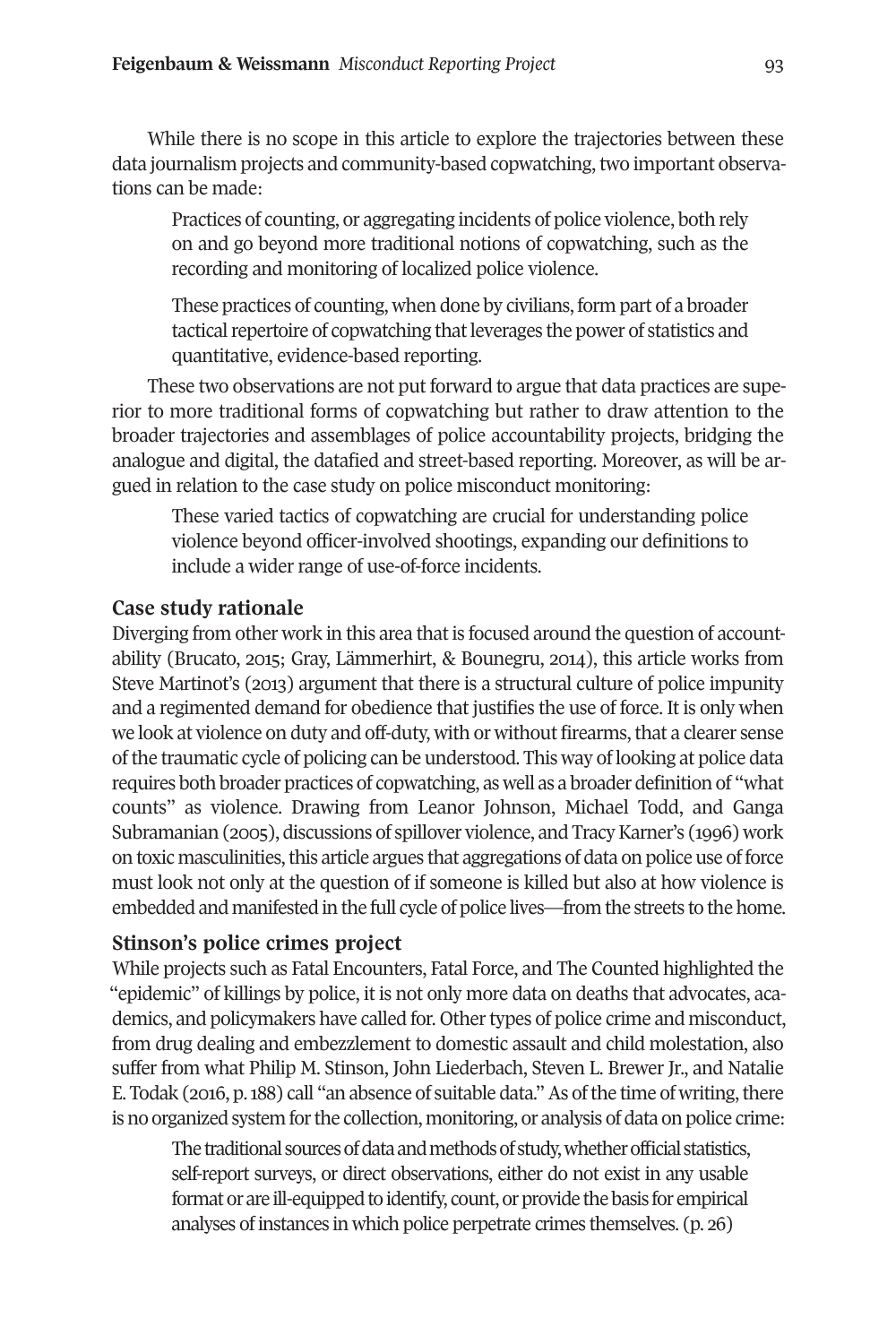While there is no scope in this article to explore the trajectories between these data journalism projects and community-based copwatching, two important observations can be made:

Practices of counting, or aggregating incidents of police violence, both rely on and go beyond more traditional notions of copwatching, such as the recording and monitoring of localized police violence.

These practices of counting, when done by civilians, form part of a broader tactical repertoire of copwatching that leverages the power of statistics and quantitative, evidence-based reporting.

These two observations are not put forward to argue that data practices are superior to more traditional forms of copwatching but rather to draw attention to the broader trajectories and assemblages of police accountability projects, bridging the analogue and digital, the datafied and street-based reporting. Moreover, as will be argued in relation to the case study on police misconduct monitoring:

These varied tactics of copwatching are crucial for understanding police violence beyond officer-involved shootings, expanding our definitions to include a wider range of use-of-force incidents.

#### **Case study rationale**

Diverging from other work in this area that is focused around the question of accountability (Brucato, 2015; Gray, Lämmerhirt, & Bounegru, 2014), this article works from Steve Martinot's (2013) argument that there is a structural culture of police impunity and a regimented demand for obedience that justifies the use of force. It is only when we look at violence on duty and off-duty, with or without firearms,that a clearer sense ofthe traumatic cycle of policing can be understood. This way of looking at police data requires both broader practices of copwatching, as well as a broader definition of "what counts" as violence. Drawing from Leanor Johnson, Michael Todd, and Ganga Subramanian (2005), discussions of spillover violence, and Tracy Karner's (1996) work on toxic masculinities, this article argues that aggregations of data on police use of force must look not only at the question of if someone is killed but also at how violence is embedded and manifested in the full cycle of police lives—from the streets to the home.

# **Stinson's police crimes project**

While projects such as Fatal Encounters, Fatal Force, and The Counted highlighted the "epidemic" of killings by police, it is not only more data on deaths that advocates, academics, and policymakers have called for. Other types of police crime and misconduct, from drug dealing and embezzlement to domestic assault and child molestation, also suffer from what Philip M. Stinson, John Liederbach, Steven L. Brewer Jr., and Natalie E. Todak (2016, p. 188) call "an absence of suitable data." As of the time of writing, there is no organized system for the collection, monitoring, or analysis of data on police crime:

The traditional sources of data and methods of study, whether official statistics, self-report surveys, or direct observations, either do not exist in any usable format or are ill-equipped to identify, count, or provide the basis for empirical analyses of instances in which police perpetrate crimes themselves. (p. 26)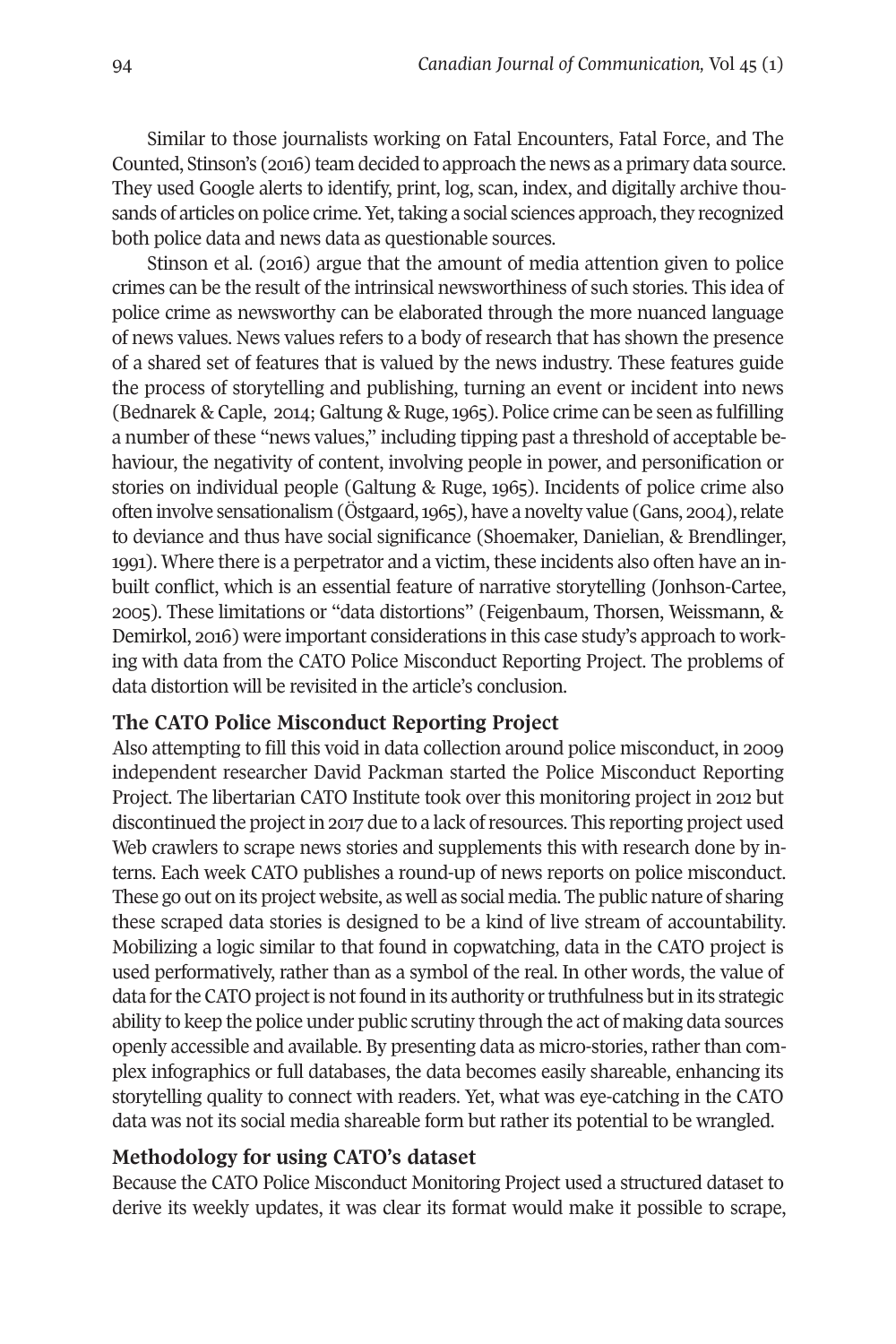Similar to those journalists working on Fatal Encounters, Fatal Force, and The Counted, Stinson's (2016) team decided to approach the news as a primary data source. They used Google alerts to identify, print, log, scan, index, and digitally archive thousands of articles on police crime. Yet, taking a social sciences approach, they recognized both police data and news data as questionable sources.

Stinson et al. (2016) argue that the amount of media attention given to police crimes can be the result of the intrinsical newsworthiness of such stories. This idea of police crime as newsworthy can be elaborated through the more nuanced language of news values. News values refers to a body of research that has shown the presence of a shared set of features that is valued by the news industry. These features guide the process of storytelling and publishing, turning an event or incident into news (Bednarek & Caple, 2014; Galtung & Ruge, 1965). Police crime can be seen as fulfilling a number of these "news values," including tipping past a threshold of acceptable behaviour, the negativity of content, involving people in power, and personification or stories on individual people (Galtung & Ruge, 1965). Incidents of police crime also often involve sensationalism (Östgaard, 1965), have a novelty value (Gans, 2004), relate to deviance and thus have social significance (Shoemaker, Danielian, & Brendlinger, 1991). Where there is a perpetrator and a victim, these incidents also often have an inbuilt conflict, which is an essential feature of narrative storytelling (Jonhson-Cartee, 2005). These limitations or "data distortions" (Feigenbaum, Thorsen, Weissmann, & Demirkol, 2016) were important considerations in this case study's approach to working with data from the CATO Police Misconduct Reporting Project. The problems of data distortion will be revisited in the article's conclusion.

# **The CATO Police Misconduct Reporting Project**

Also attempting to fill this void in data collection around police misconduct, in 2009 independent researcher David Packman started the Police Misconduct Reporting Project. The libertarian CATO Institute took over this monitoring project in 2012 but discontinued the project in 2017 due to a lack of resources. This reporting project used Web crawlers to scrape news stories and supplements this with research done by interns. Each week CATO publishes a round-up of news reports on police misconduct. These go out on its project website, as well as social media. The public nature of sharing these scraped data stories is designed to be a kind of live stream of accountability. Mobilizing a logic similar to that found in copwatching, data in the CATO project is used performatively, rather than as a symbol of the real. In other words, the value of data for the CATO project is not found in its authority or truthfulness but in its strategic ability to keep the police under public scrutiny through the act of making data sources openly accessible and available. By presenting data as micro-stories, rather than complex infographics or full databases, the data becomes easily shareable, enhancing its storytelling quality to connect with readers. Yet, what was eye-catching in the CATO data was not its social media shareable form but rather its potential to be wrangled.

# **Methodology for using CATO's dataset**

Because the CATO Police Misconduct Monitoring Project used a structured dataset to derive its weekly updates, it was clear its format would make it possible to scrape,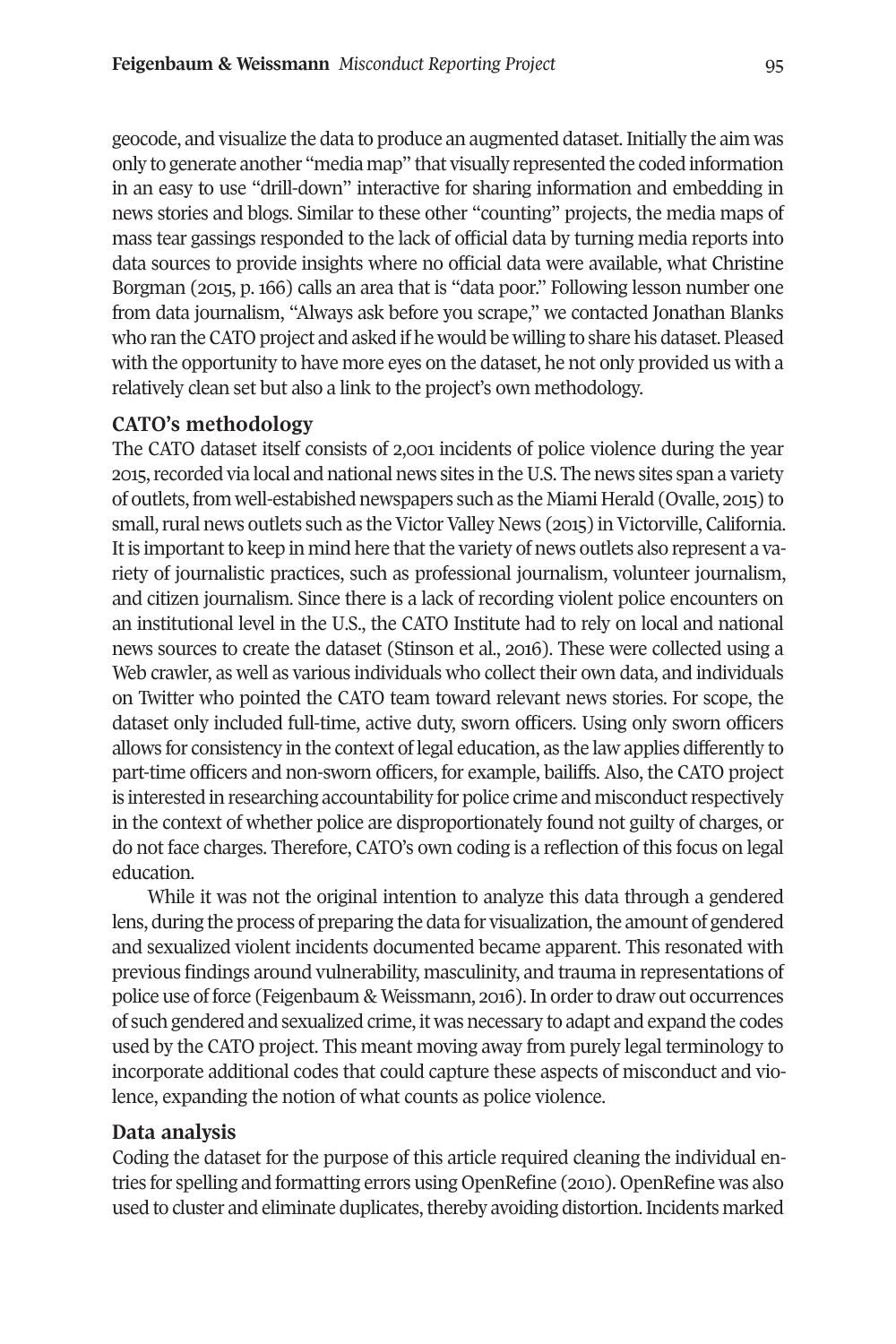geocode, and visualize the data to produce an augmented dataset.Initially the aim was only to generate another "media map" that visually represented the coded information in an easy to use "drill-down" interactive for sharing information and embedding in news stories and blogs. Similar to these other "counting" projects, the media maps of mass tear gassings responded to the lack of official data by turning media reports into data sources to provide insights where no official data were available, what Christine Borgman (2015, p. 166) calls an area that is "data poor." Following lesson number one from data journalism, "Always ask before you scrape," we contacted Jonathan Blanks who ran the CATO project and asked if he would be willing to share his dataset. Pleased with the opportunity to have more eyes on the dataset, he not only provided us with a relatively clean set but also a link to the project's own methodology.

## **CATO's methodology**

The CATO dataset itself consists of 2,001 incidents of police violence during the year 2015, recorded via local and national news sites in the U.S. The news sites span a variety of outlets,from well-estabished newspapers such as the Miami Herald (Ovalle, 2015) to small, rural news outlets such as the Victor Valley News (2015) in Victorville, California. It is important to keep in mind here that the variety of news outlets also represent a variety of journalistic practices, such as professional journalism, volunteer journalism, and citizen journalism. Since there is a lack of recording violent police encounters on an institutional level in the U.S., the CATO Institute had to rely on local and national news sources to create the dataset (Stinson et al., 2016). These were collected using a Web crawler, as well as various individuals who collect their own data, and individuals on Twitter who pointed the CATO team toward relevant news stories. For scope, the dataset only included full-time, active duty, sworn officers. Using only sworn officers allows for consistency in the context of legal education, as the law applies differently to part-time officers and non-sworn officers, for example, bailiffs. Also, the CATO project is interested in researching accountability for police crime and misconduct respectively in the context of whether police are disproportionately found not guilty of charges, or do not face charges. Therefore, CATO's own coding is a reflection of this focus on legal education.

While it was not the original intention to analyze this data through a gendered lens, during the process of preparing the data for visualization, the amount of gendered and sexualized violent incidents documented became apparent. This resonated with previous findings around vulnerability, masculinity, and trauma in representations of police use of force (Feigenbaum & Weissmann, 2016). In order to draw out occurrences of such gendered and sexualized crime, it was necessary to adapt and expand the codes used by the CATO project. This meant moving away from purely legal terminology to incorporate additional codes that could capture these aspects of misconduct and violence, expanding the notion of what counts as police violence.

#### **Data analysis**

Coding the dataset for the purpose of this article required cleaning the individual entries for spelling and formatting errors using OpenRefine (2010). OpenRefine was also used to cluster and eliminate duplicates, thereby avoiding distortion. Incidents marked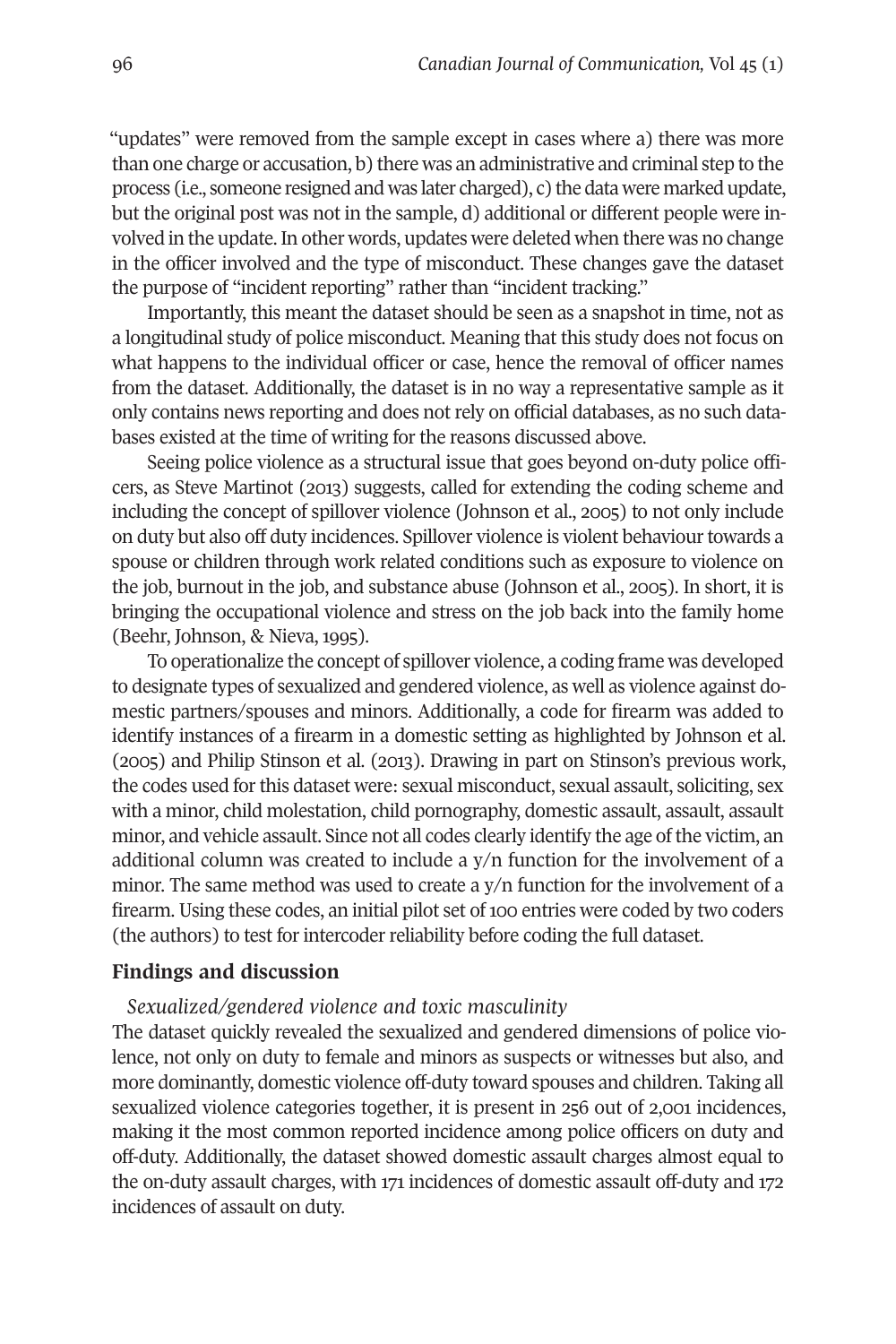"updates" were removed from the sample except in cases where a) there was more than one charge or accusation, b) there was an administrative and criminal step to the process (i.e., someone resigned and was later charged), c) the data were marked update, but the original post was not in the sample, d) additional or different people were involved in the update.In other words, updates were deleted when there was no change in the officer involved and the type of misconduct. These changes gave the dataset the purpose of "incident reporting" rather than "incident tracking."

Importantly, this meant the dataset should be seen as a snapshot in time, not as a longitudinal study of police misconduct. Meaning that this study does not focus on what happens to the individual officer or case, hence the removal of officer names from the dataset. Additionally, the dataset is in no way a representative sample as it only contains news reporting and does not rely on official databases, as no such databases existed at the time of writing for the reasons discussed above.

Seeing police violence as a structural issue that goes beyond on-duty police officers, as Steve Martinot (2013) suggests, called for extending the coding scheme and including the concept of spillover violence (Johnson et al., 2005) to not only include on duty but also off duty incidences. Spillover violence is violent behaviourtowards a spouse or children through work related conditions such as exposure to violence on the job, burnout in the job, and substance abuse (Johnson et al., 2005). In short, it is bringing the occupational violence and stress on the job back into the family home (Beehr, Johnson, & Nieva, 1995).

To operationalize the concept of spillover violence, a coding frame was developed to designate types of sexualized and gendered violence, as well as violence against domestic partners/spouses and minors. Additionally, a code for firearm was added to identify instances of a firearm in a domestic setting as highlighted by Johnson et al. (2005) and Philip Stinson et al. (2013). Drawing in part on Stinson's previous work, the codes used forthis dataset were: sexual misconduct, sexual assault, soliciting, sex with a minor, child molestation, child pornography, domestic assault, assault, assault minor, and vehicle assault. Since not all codes clearly identify the age of the victim, an additional column was created to include a y/n function for the involvement of a minor. The same method was used to create a y/n function for the involvement of a firearm. Using these codes, an initial pilot set of 100 entries were coded by two coders (the authors) to test for intercoder reliability before coding the full dataset.

#### **Findings and discussion**

*Sexualized/gendered violence and toxic masculinity*

The dataset quickly revealed the sexualized and gendered dimensions of police violence, not only on duty to female and minors as suspects or witnesses but also, and more dominantly, domestic violence off-duty toward spouses and children. Taking all sexualized violence categories together, it is present in 256 out of 2,001 incidences, making it the most common reported incidence among police officers on duty and off-duty. Additionally, the dataset showed domestic assault charges almost equal to the on-duty assault charges, with 171 incidences of domestic assault off-duty and 172 incidences of assault on duty.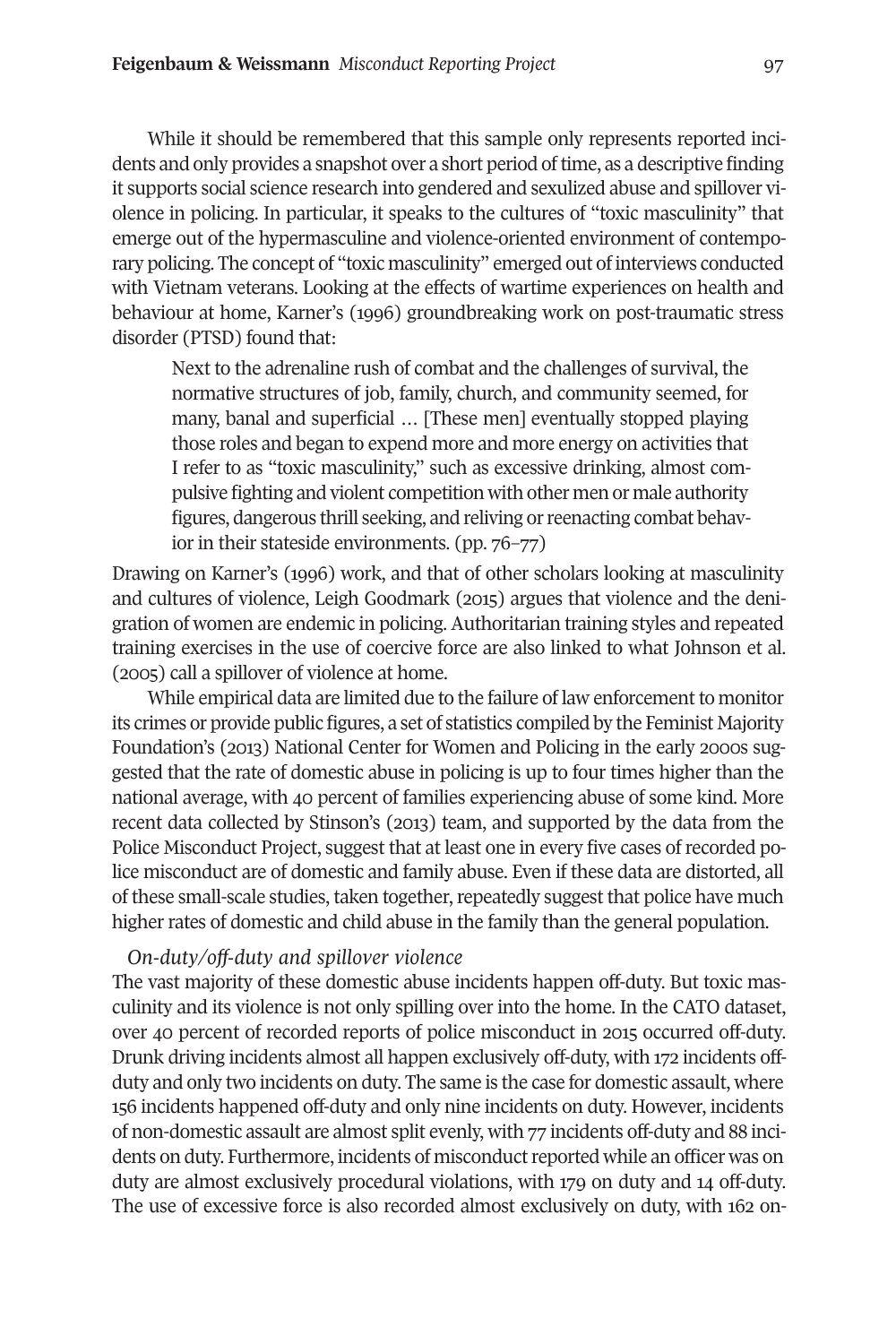While it should be remembered that this sample only represents reported incidents and only provides a snapshot over a short period of time, as a descriptive finding it supports social science research into gendered and sexulized abuse and spillover violence in policing. In particular, it speaks to the cultures of "toxic masculinity" that emerge out of the hypermasculine and violence-oriented environment of contemporary policing. The concept of "toxic masculinity" emerged out of interviews conducted with Vietnam veterans. Looking at the effects of wartime experiences on health and behaviour at home, Karner's (1996) groundbreaking work on post-traumatic stress disorder (PTSD) found that:

Next to the adrenaline rush of combat and the challenges of survival, the normative structures of job, family, church, and community seemed, for many, banal and superficial … [These men] eventually stopped playing those roles and began to expend more and more energy on activities that I refer to as "toxic masculinity," such as excessive drinking, almost compulsive fighting and violent competition with other men or male authority figures, dangerous thrill seeking, and reliving or reenacting combat behavior in their stateside environments. (pp. 76–77)

Drawing on Karner's (1996) work, and that of other scholars looking at masculinity and cultures of violence, Leigh Goodmark (2015) argues that violence and the denigration of women are endemic in policing. Authoritarian training styles and repeated training exercises in the use of coercive force are also linked to what Johnson et al. (2005) call a spillover of violence at home.

While empirical data are limited due to the failure of law enforcement to monitor its crimes or provide public figures, a set of statistics compiled by the Feminist Majority Foundation's (2013) National Center for Women and Policing in the early 2000s suggested that the rate of domestic abuse in policing is up to four times higher than the national average, with 40 percent of families experiencing abuse of some kind. More recent data collected by Stinson's (2013) team, and supported by the data from the Police Misconduct Project, suggest that at least one in every five cases of recorded police misconduct are of domestic and family abuse. Even if these data are distorted, all of these small-scale studies, taken together, repeatedly suggest that police have much higher rates of domestic and child abuse in the family than the general population.

#### *On-duty/off-duty and spillover violence*

The vast majority of these domestic abuse incidents happen off-duty. But toxic masculinity and its violence is not only spilling over into the home. In the CATO dataset, over 40 percent of recorded reports of police misconduct in 2015 occurred off-duty. Drunk driving incidents almost all happen exclusively off-duty, with 172 incidents offduty and only two incidents on duty. The same is the case for domestic assault, where 156 incidents happened off-duty and only nine incidents on duty. However, incidents of non-domestic assault are almost split evenly, with 77 incidents off-duty and 88 incidents on duty. Furthermore, incidents of misconduct reported while an officer was on duty are almost exclusively procedural violations, with 179 on duty and 14 off-duty. The use of excessive force is also recorded almost exclusively on duty, with 162 on-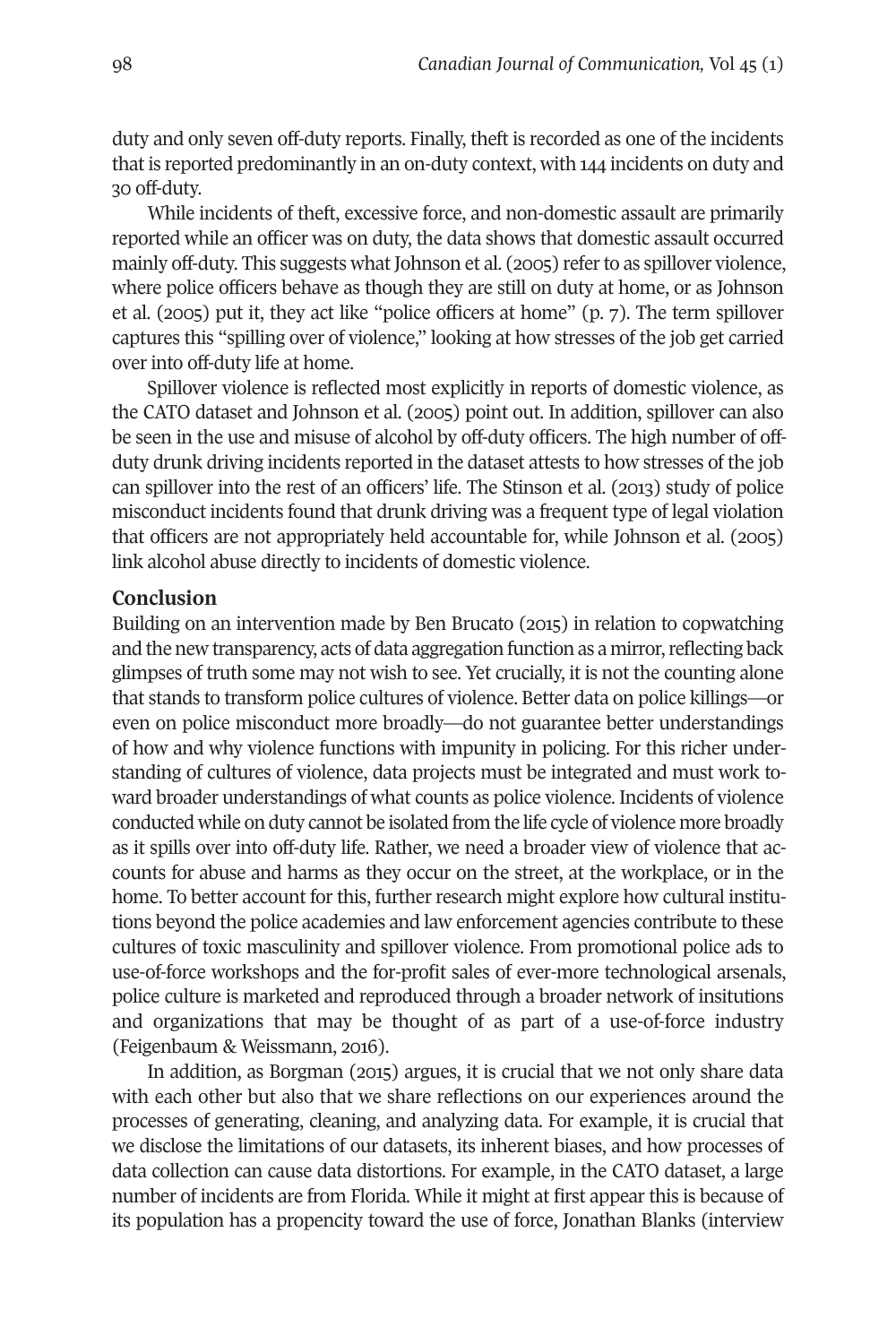duty and only seven off-duty reports. Finally, theft is recorded as one of the incidents that is reported predominantly in an on-duty context, with 144 incidents on duty and 30 off-duty.

While incidents of theft, excessive force, and non-domestic assault are primarily reported while an officer was on duty, the data shows that domestic assault occurred mainly off-duty. This suggests what Johnson et al. (2005) referto as spillover violence, where police officers behave as though they are still on duty at home, or as Johnson et al. (2005) put it, they act like "police officers at home" (p. 7). The term spillover captures this "spilling over of violence," looking at how stresses of the job get carried over into off-duty life at home.

Spillover violence is reflected most explicitly in reports of domestic violence, as the CATO dataset and Johnson et al. (2005) point out. In addition, spillover can also be seen in the use and misuse of alcohol by off-duty officers. The high number of offduty drunk driving incidents reported in the dataset attests to how stresses of the job can spillover into the rest of an officers' life. The Stinson et al. (2013) study of police misconduct incidents found that drunk driving was a frequent type of legal violation that officers are not appropriately held accountable for, while Johnson et al. (2005) link alcohol abuse directly to incidents of domestic violence.

#### **Conclusion**

Building on an intervention made by Ben Brucato (2015) in relation to copwatching and the new transparency, acts of data aggregation function as a mirror, reflecting back glimpses of truth some may not wish to see. Yet crucially, it is not the counting alone that stands to transform police cultures of violence. Better data on police killings—or even on police misconduct more broadly—do not guarantee better understandings of how and why violence functions with impunity in policing. For this richer understanding of cultures of violence, data projects must be integrated and must work toward broader understandings of what counts as police violence. Incidents of violence conducted while on duty cannot be isolated from the life cycle of violence more broadly as it spills over into off-duty life. Rather, we need a broader view of violence that accounts for abuse and harms as they occur on the street, at the workplace, or in the home. To better account for this, further research might explore how cultural institutions beyond the police academies and law enforcement agencies contribute to these cultures of toxic masculinity and spillover violence. From promotional police ads to use-of-force workshops and the for-profit sales of ever-more technological arsenals, police culture is marketed and reproduced through a broader network of insitutions and organizations that may be thought of as part of a use-of-force industry (Feigenbaum & Weissmann, 2016).

In addition, as Borgman (2015) argues, it is crucial that we not only share data with each other but also that we share reflections on our experiences around the processes of generating, cleaning, and analyzing data. For example, it is crucial that we disclose the limitations of our datasets, its inherent biases, and how processes of data collection can cause data distortions. For example, in the CATO dataset, a large number of incidents are from Florida. While it might at first appear this is because of its population has a propencity toward the use of force, Jonathan Blanks (interview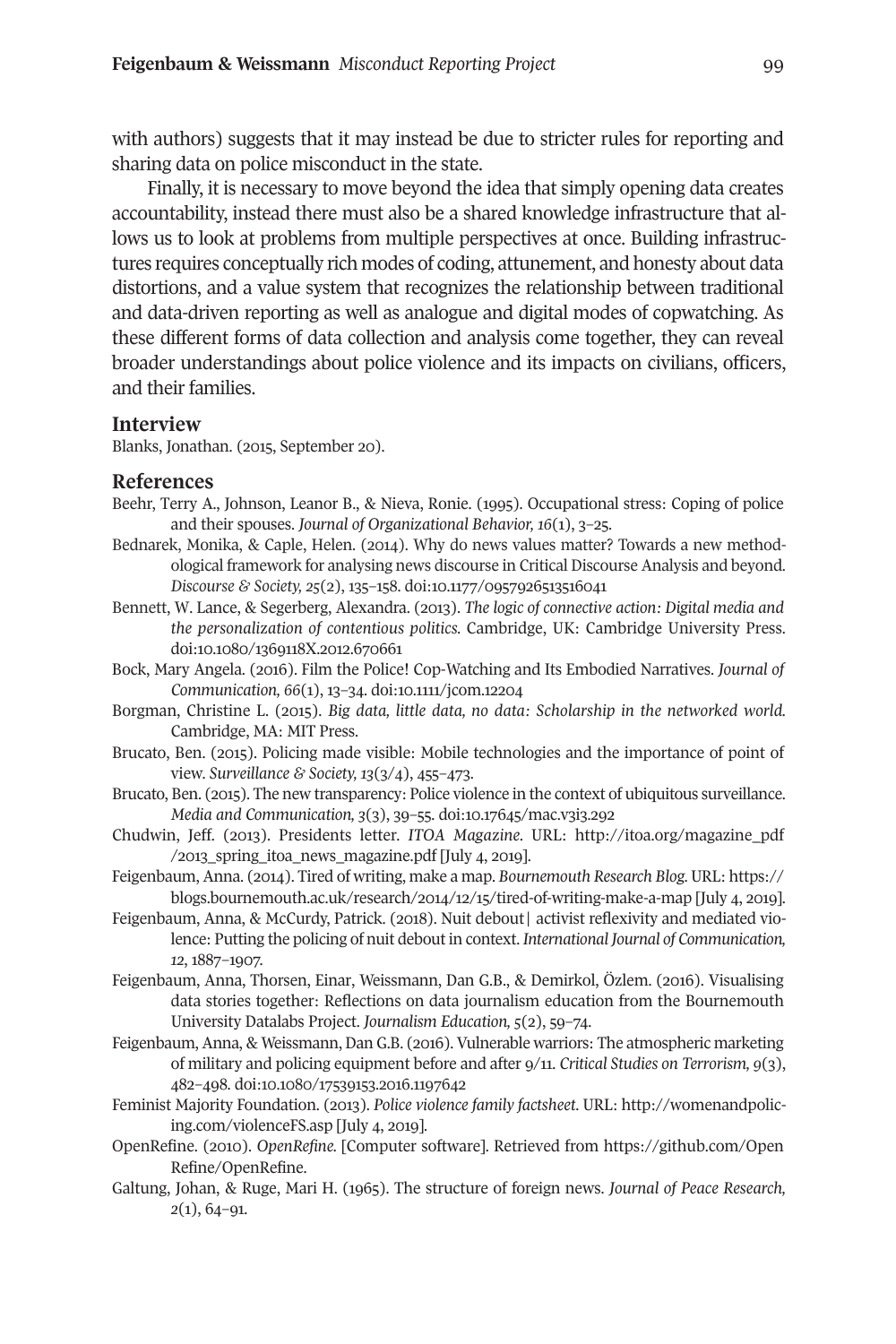with authors) suggests that it may instead be due to stricter rules for reporting and sharing data on police misconduct in the state.

Finally, it is necessary to move beyond the idea that simply opening data creates accountability, instead there must also be a shared knowledge infrastructure that allows us to look at problems from multiple perspectives at once. Building infrastructures requires conceptually rich modes of coding, attunement, and honesty about data distortions, and a value system that recognizes the relationship between traditional and data-driven reporting as well as analogue and digital modes of copwatching. As these different forms of data collection and analysis come together, they can reveal broader understandings about police violence and its impacts on civilians, officers, and their families.

#### **Interview**

Blanks, Jonathan. (2015, September 20).

#### **References**

- Beehr, Terry A., Johnson, Leanor B., & Nieva, Ronie. (1995). Occupational stress: Coping of police and their spouses. *Journal of Organizational Behavior, 16*(1), 3–25.
- Bednarek, Monika, & Caple, Helen. (2014). Why do news values matter? Towards a new methodological framework for analysing news discourse in Critical Discourse Analysis and beyond. *Discourse & Society, 25*(2), 135–158. [doi:10.1177/0957926513516041](http://doi.org/doi:10.1177/0957926513516041)
- Bennett, W. Lance, & Segerberg, Alexandra. (2013). *The logic of connective action: Digital media and the personalization of contentious politics.* Cambridge, UK: Cambridge University Press. doi[:10.1080/1369118X.2012.670661](http://doi.org/10.1080/1369118X.2012.670661)
- Bock, Mary Angela. (2016). Film the Police! Cop-Watching and Its Embodied Narratives. *Journal of Communication, 66*(1), 13–34. doi[:10.1111/jcom.12204](http://doi.org/10.1111/jcom.12204)
- Borgman, Christine L. (2015). *Big data, little data, no data: Scholarship in the networked world.* Cambridge, MA: MIT Press.
- Brucato, Ben. (2015). Policing made visible: Mobile technologies and the importance of point of view. *Surveillance & Society, 13*(3/4), 455–473.
- Brucato, Ben. (2015). The new transparency: Police violence in the context of ubiquitous surveillance. *Media and Communication, 3*(3), 39–55. doi[:10.17645/mac.v3i3.292](http://doi.org/10.17645/mac.v3i3.292)
- Chudwin, Jeff. (2013). Presidents letter. *ITOA Magazine.* URL: [http://itoa.org/magazine\\_pdf](http://itoa.org/magazine_pdf/2013_spring_itoa_news_magazine.pdf) [/2013\\_spring\\_itoa\\_news\\_magazine.pdf](http://itoa.org/magazine_pdf/2013_spring_itoa_news_magazine.pdf) [July 4, 2019].
- Feigenbaum, Anna. (2014). Tired of writing, make a map. *Bournemouth Research Blog.* URL: [https://](https://blogs.bournemouth.ac.uk/research/2014/12/15/tired-of-writing-make-a-map) [blogs.bournemouth.ac.uk/research/2014/12/15/tired-of-writing-make-a-map](https://blogs.bournemouth.ac.uk/research/2014/12/15/tired-of-writing-make-a-map) [July 4, 2019].
- Feigenbaum, Anna, & McCurdy, Patrick. (2018). Nuit debout| activist reflexivity and mediated violence: Putting the policing of nuit debout in context. *International Journal of Communication, 12*, 1887–1907.
- Feigenbaum, Anna, Thorsen, Einar, Weissmann, Dan G.B., & Demirkol, Özlem. (2016). Visualising data stories together: Reflections on data journalism education from the Bournemouth University Datalabs Project. *Journalism Education, 5*(2), 59–74.
- Feigenbaum, Anna, & Weissmann, Dan G.B. (2016). Vulnerable warriors: The atmospheric marketing of military and policing equipment before and after 9/11. *Critical Studies on Terrorism, 9*(3), 482–498. doi[:10.1080/17539153.2016.1197642](http://doi.org/10.1080/17539153.2016.1197642)
- Feminist Majority Foundation. (2013). *Police violence family factsheet*. URL: http://womenandpolicing.com/violenceFS.asp [July 4, 2019].
- OpenRefine. (2010). *OpenRefine.* [Computer software]. Retrieved from [https://github.com/Open](https://github.com/OpenRefine/OpenRefine) [Refine/OpenRefine.](https://github.com/OpenRefine/OpenRefine)
- Galtung, Johan, & Ruge, Mari H. (1965). The structure of foreign news. *Journal of Peace Research, 2*(1), 64–91.